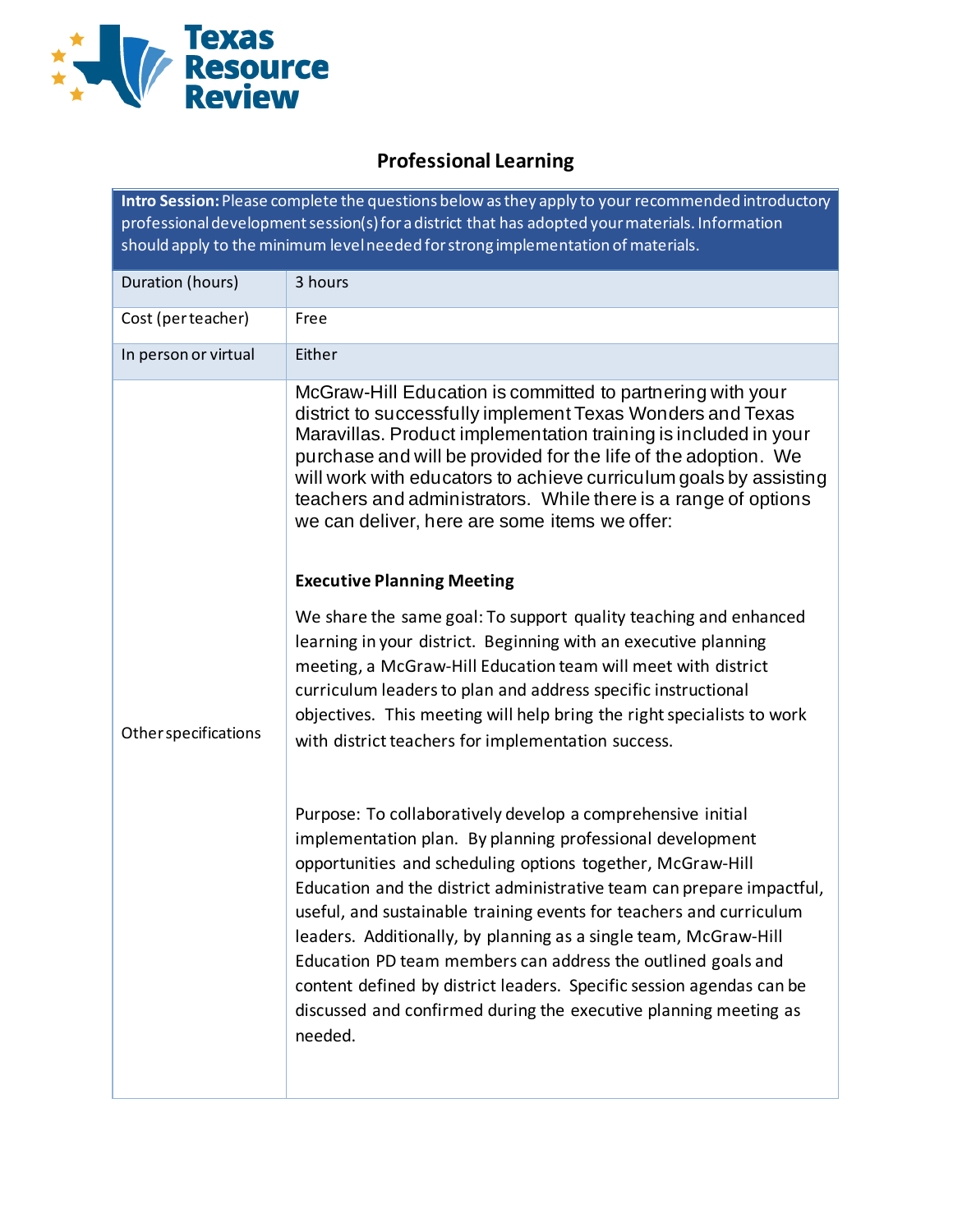

# **Professional Learning**

**Intro Session:** Please complete the questions below as they apply to your recommended introductory professional development session(s) for a district that has adopted your materials. Information should apply to the minimum level needed for strong implementation of materials.

| Duration (hours)     | 3 hours                                                                                                                                                                                                                                                                                                                                                                                                                                                                                                                                                                                                                           |
|----------------------|-----------------------------------------------------------------------------------------------------------------------------------------------------------------------------------------------------------------------------------------------------------------------------------------------------------------------------------------------------------------------------------------------------------------------------------------------------------------------------------------------------------------------------------------------------------------------------------------------------------------------------------|
| Cost (perteacher)    | Free                                                                                                                                                                                                                                                                                                                                                                                                                                                                                                                                                                                                                              |
| In person or virtual | Either                                                                                                                                                                                                                                                                                                                                                                                                                                                                                                                                                                                                                            |
| Other specifications | McGraw-Hill Education is committed to partnering with your<br>district to successfully implement Texas Wonders and Texas<br>Maravillas. Product implementation training is included in your<br>purchase and will be provided for the life of the adoption. We<br>will work with educators to achieve curriculum goals by assisting<br>teachers and administrators. While there is a range of options<br>we can deliver, here are some items we offer:                                                                                                                                                                             |
|                      | <b>Executive Planning Meeting</b>                                                                                                                                                                                                                                                                                                                                                                                                                                                                                                                                                                                                 |
|                      | We share the same goal: To support quality teaching and enhanced<br>learning in your district. Beginning with an executive planning<br>meeting, a McGraw-Hill Education team will meet with district<br>curriculum leaders to plan and address specific instructional<br>objectives. This meeting will help bring the right specialists to work<br>with district teachers for implementation success.                                                                                                                                                                                                                             |
|                      | Purpose: To collaboratively develop a comprehensive initial<br>implementation plan. By planning professional development<br>opportunities and scheduling options together, McGraw-Hill<br>Education and the district administrative team can prepare impactful,<br>useful, and sustainable training events for teachers and curriculum<br>leaders. Additionally, by planning as a single team, McGraw-Hill<br>Education PD team members can address the outlined goals and<br>content defined by district leaders. Specific session agendas can be<br>discussed and confirmed during the executive planning meeting as<br>needed. |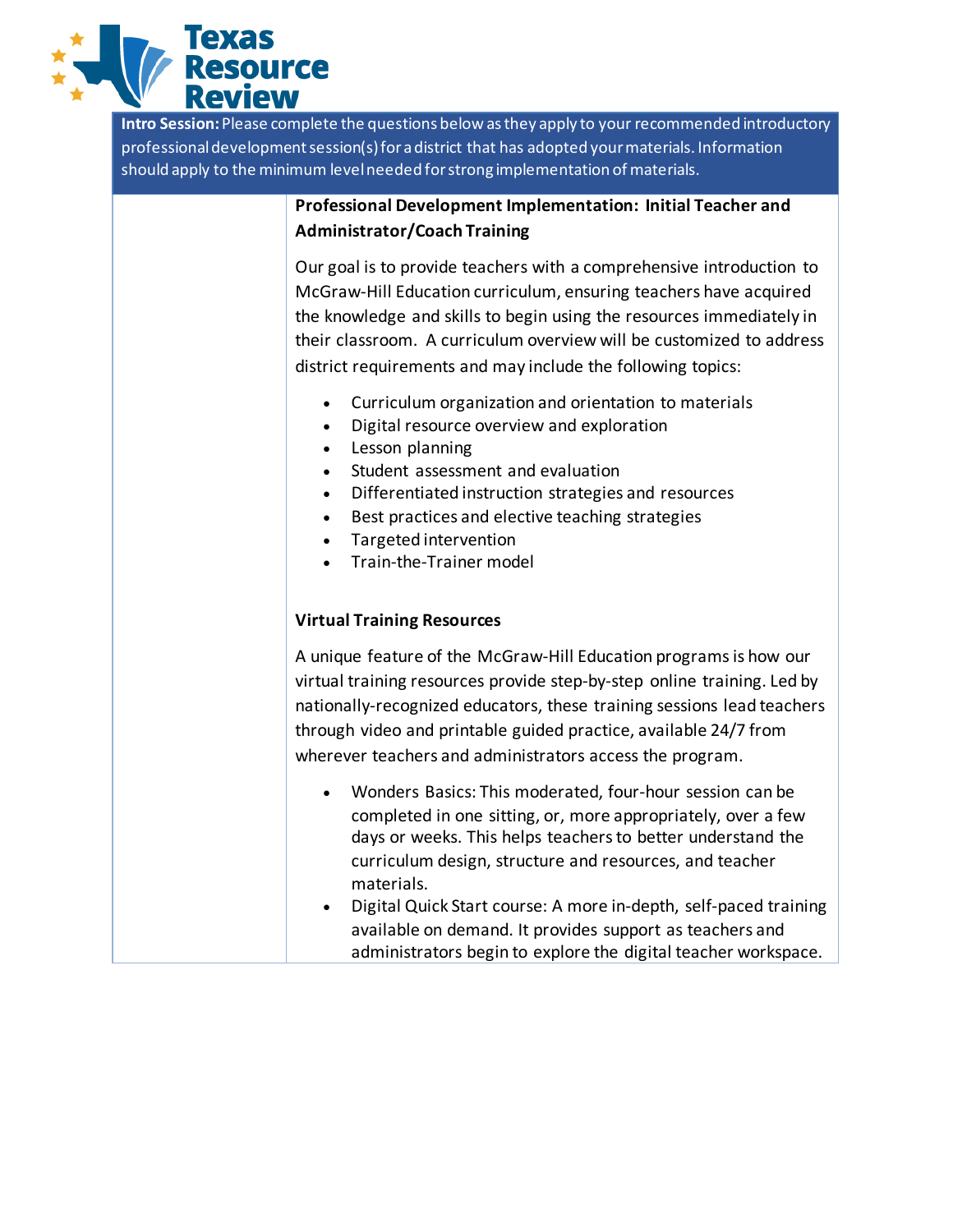

**Intro Session:**Please complete the questions below as they apply to your recommended introductory professional development session(s) for a district that has adopted your materials. Information should apply to the minimum level needed for strong implementation of materials.

## **Professional Development Implementation: Initial Teacher and Administrator/Coach Training**

Our goal is to provide teachers with a comprehensive introduction to McGraw-Hill Education curriculum, ensuring teachers have acquired the knowledge and skills to begin using the resources immediately in their classroom. A curriculum overview will be customized to address district requirements and may include the following topics:

- Curriculum organization and orientation to materials
- Digital resource overview and exploration
- Lesson planning
- Student assessment and evaluation
- Differentiated instruction strategies and resources
- Best practices and elective teaching strategies
- Targeted intervention
- Train-the-Trainer model

## **Virtual Training Resources**

A unique feature of the McGraw-Hill Education programs is how our virtual training resources provide step-by-step online training. Led by nationally-recognized educators, these training sessions lead teachers through video and printable guided practice, available 24/7 from wherever teachers and administrators access the program.

- Wonders Basics: This moderated, four-hour session can be completed in one sitting, or, more appropriately, over a few days or weeks. This helps teachers to better understand the curriculum design, structure and resources, and teacher materials.
- Digital Quick Start course: A more in-depth, self-paced training available on demand. It provides support as teachers and administrators begin to explore the digital teacher workspace.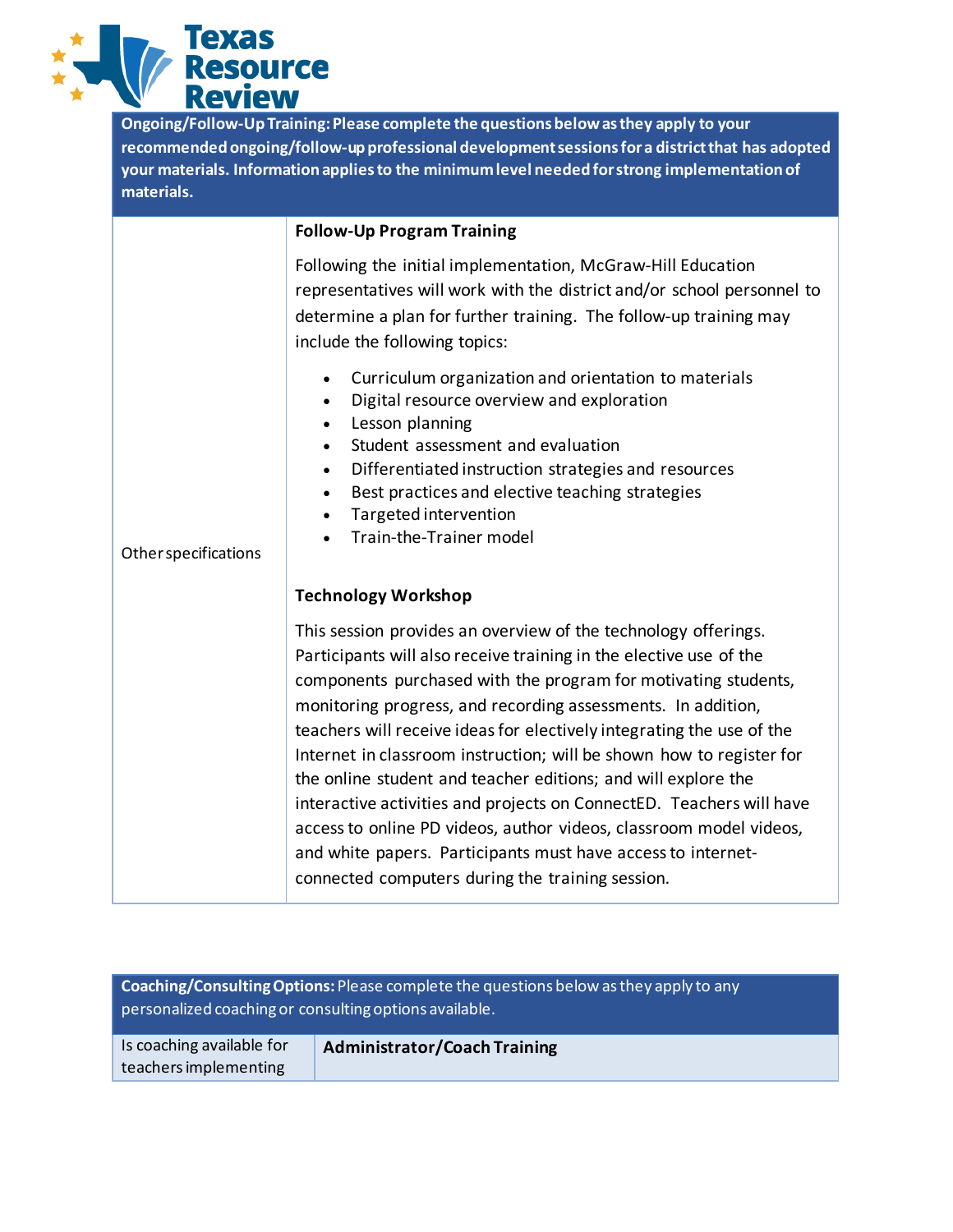

**Ongoing/Follow-Up Training:Please complete the questions below as they apply to your recommended ongoing/follow-up professional development sessions for a district that has adopted your materials. Information appliesto the minimum level needed for strong implementation of materials.**

#### **Follow-Up Program Training**

Following the initial implementation, McGraw-Hill Education representatives will work with the district and/or school personnel to determine a plan for further training. The follow-up training may include the following topics:

- Curriculum organization and orientation to materials
- Digital resource overview and exploration
- Lesson planning
- Student assessment and evaluation
- Differentiated instruction strategies and resources
- Best practices and elective teaching strategies
- Targeted intervention
- Train-the-Trainer model

#### Other specifications

### **Technology Workshop**

This session provides an overview of the technology offerings. Participants will also receive training in the elective use of the components purchased with the program for motivating students, monitoring progress, and recording assessments. In addition, teachers will receive ideas for electively integrating the use of the Internet in classroom instruction; will be shown how to register for the online student and teacher editions; and will explore the interactive activities and projects on ConnectED. Teachers will have access to online PD videos, author videos, classroom model videos, and white papers. Participants must have access to internetconnected computers during the training session.

**Coaching/Consulting Options:**Please complete the questions below as they apply to any personalized coaching or consulting options available.

Is coaching available for teachers implementing

**Administrator/Coach Training**